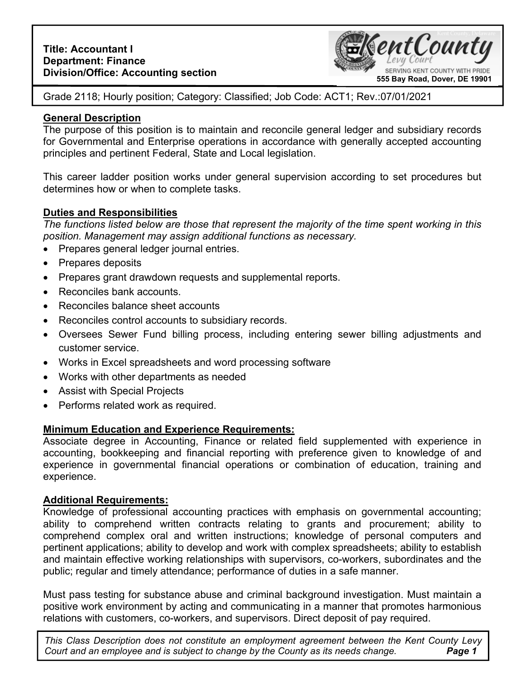

Grade 2118; Hourly position; Category: Classified; Job Code: ACT1; Rev.:07/01/2021

## **General Description**

The purpose of this position is to maintain and reconcile general ledger and subsidiary records for Governmental and Enterprise operations in accordance with generally accepted accounting principles and pertinent Federal, State and Local legislation.

This career ladder position works under general supervision according to set procedures but determines how or when to complete tasks.

### **Duties and Responsibilities**

*The functions listed below are those that represent the majority of the time spent working in this position. Management may assign additional functions as necessary.* 

- Prepares general ledger journal entries.
- Prepares deposits
- Prepares grant drawdown requests and supplemental reports.
- Reconciles bank accounts.
- Reconciles balance sheet accounts
- Reconciles control accounts to subsidiary records.
- Oversees Sewer Fund billing process, including entering sewer billing adjustments and customer service.
- Works in Excel spreadsheets and word processing software
- Works with other departments as needed
- Assist with Special Projects
- Performs related work as required.

## **Minimum Education and Experience Requirements:**

Associate degree in Accounting, Finance or related field supplemented with experience in accounting, bookkeeping and financial reporting with preference given to knowledge of and experience in governmental financial operations or combination of education, training and experience.

#### **Additional Requirements:**

Knowledge of professional accounting practices with emphasis on governmental accounting; ability to comprehend written contracts relating to grants and procurement; ability to comprehend complex oral and written instructions; knowledge of personal computers and pertinent applications; ability to develop and work with complex spreadsheets; ability to establish and maintain effective working relationships with supervisors, co-workers, subordinates and the public; regular and timely attendance; performance of duties in a safe manner.

Must pass testing for substance abuse and criminal background investigation. Must maintain a positive work environment by acting and communicating in a manner that promotes harmonious relations with customers, co-workers, and supervisors. Direct deposit of pay required.

**Page 1** *This Class Description does not constitute an employment agreement between the Kent County Levy Court and an employee and is subject to change by the County as its needs change.*